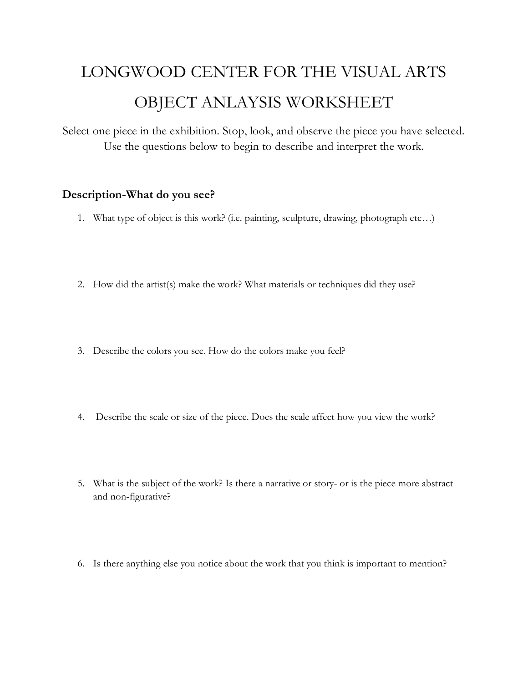## LONGWOOD CENTER FOR THE VISUAL ARTS OBJECT ANLAYSIS WORKSHEET

Select one piece in the exhibition. Stop, look, and observe the piece you have selected. Use the questions below to begin to describe and interpret the work.

## **Description-What do you see?**

- 1. What type of object is this work? (i.e. painting, sculpture, drawing, photograph etc…)
- 2. How did the artist(s) make the work? What materials or techniques did they use?
- 3. Describe the colors you see. How do the colors make you feel?
- 4. Describe the scale or size of the piece. Does the scale affect how you view the work?
- 5. What is the subject of the work? Is there a narrative or story- or is the piece more abstract and non-figurative?
- 6. Is there anything else you notice about the work that you think is important to mention?